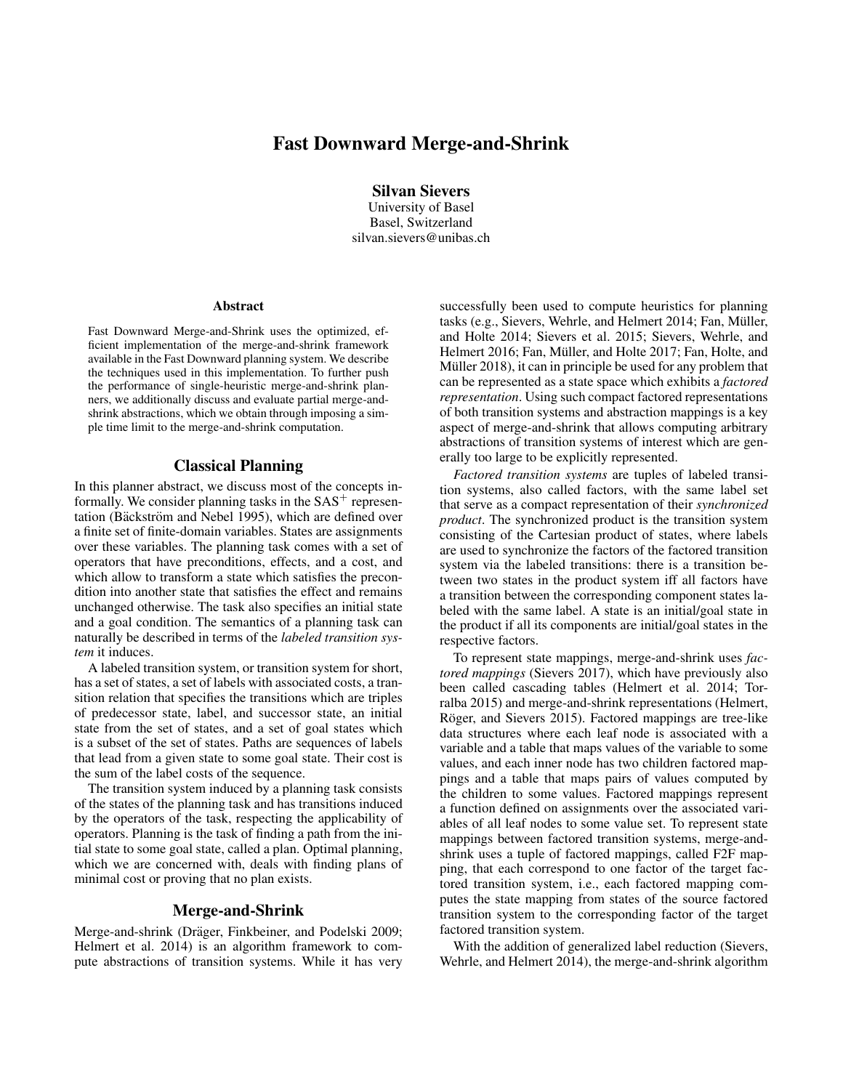# Fast Downward Merge-and-Shrink

Silvan Sievers

University of Basel Basel, Switzerland silvan.sievers@unibas.ch

#### **Abstract**

Fast Downward Merge-and-Shrink uses the optimized, efficient implementation of the merge-and-shrink framework available in the Fast Downward planning system. We describe the techniques used in this implementation. To further push the performance of single-heuristic merge-and-shrink planners, we additionally discuss and evaluate partial merge-andshrink abstractions, which we obtain through imposing a simple time limit to the merge-and-shrink computation.

## Classical Planning

In this planner abstract, we discuss most of the concepts informally. We consider planning tasks in the  $SAS<sup>+</sup>$  representation (Bäckström and Nebel 1995), which are defined over a finite set of finite-domain variables. States are assignments over these variables. The planning task comes with a set of operators that have preconditions, effects, and a cost, and which allow to transform a state which satisfies the precondition into another state that satisfies the effect and remains unchanged otherwise. The task also specifies an initial state and a goal condition. The semantics of a planning task can naturally be described in terms of the *labeled transition system* it induces.

A labeled transition system, or transition system for short, has a set of states, a set of labels with associated costs, a transition relation that specifies the transitions which are triples of predecessor state, label, and successor state, an initial state from the set of states, and a set of goal states which is a subset of the set of states. Paths are sequences of labels that lead from a given state to some goal state. Their cost is the sum of the label costs of the sequence.

The transition system induced by a planning task consists of the states of the planning task and has transitions induced by the operators of the task, respecting the applicability of operators. Planning is the task of finding a path from the initial state to some goal state, called a plan. Optimal planning, which we are concerned with, deals with finding plans of minimal cost or proving that no plan exists.

## Merge-and-Shrink

Merge-and-shrink (Dräger, Finkbeiner, and Podelski 2009; Helmert et al. 2014) is an algorithm framework to compute abstractions of transition systems. While it has very

successfully been used to compute heuristics for planning tasks (e.g., Sievers, Wehrle, and Helmert 2014; Fan, Müller, and Holte 2014; Sievers et al. 2015; Sievers, Wehrle, and Helmert 2016; Fan, Müller, and Holte 2017; Fan, Holte, and Müller 2018), it can in principle be used for any problem that can be represented as a state space which exhibits a *factored representation*. Using such compact factored representations of both transition systems and abstraction mappings is a key aspect of merge-and-shrink that allows computing arbitrary abstractions of transition systems of interest which are generally too large to be explicitly represented.

*Factored transition systems* are tuples of labeled transition systems, also called factors, with the same label set that serve as a compact representation of their *synchronized product*. The synchronized product is the transition system consisting of the Cartesian product of states, where labels are used to synchronize the factors of the factored transition system via the labeled transitions: there is a transition between two states in the product system iff all factors have a transition between the corresponding component states labeled with the same label. A state is an initial/goal state in the product if all its components are initial/goal states in the respective factors.

To represent state mappings, merge-and-shrink uses *factored mappings* (Sievers 2017), which have previously also been called cascading tables (Helmert et al. 2014; Torralba 2015) and merge-and-shrink representations (Helmert, Röger, and Sievers 2015). Factored mappings are tree-like data structures where each leaf node is associated with a variable and a table that maps values of the variable to some values, and each inner node has two children factored mappings and a table that maps pairs of values computed by the children to some values. Factored mappings represent a function defined on assignments over the associated variables of all leaf nodes to some value set. To represent state mappings between factored transition systems, merge-andshrink uses a tuple of factored mappings, called F2F mapping, that each correspond to one factor of the target factored transition system, i.e., each factored mapping computes the state mapping from states of the source factored transition system to the corresponding factor of the target factored transition system.

With the addition of generalized label reduction (Sievers, Wehrle, and Helmert 2014), the merge-and-shrink algorithm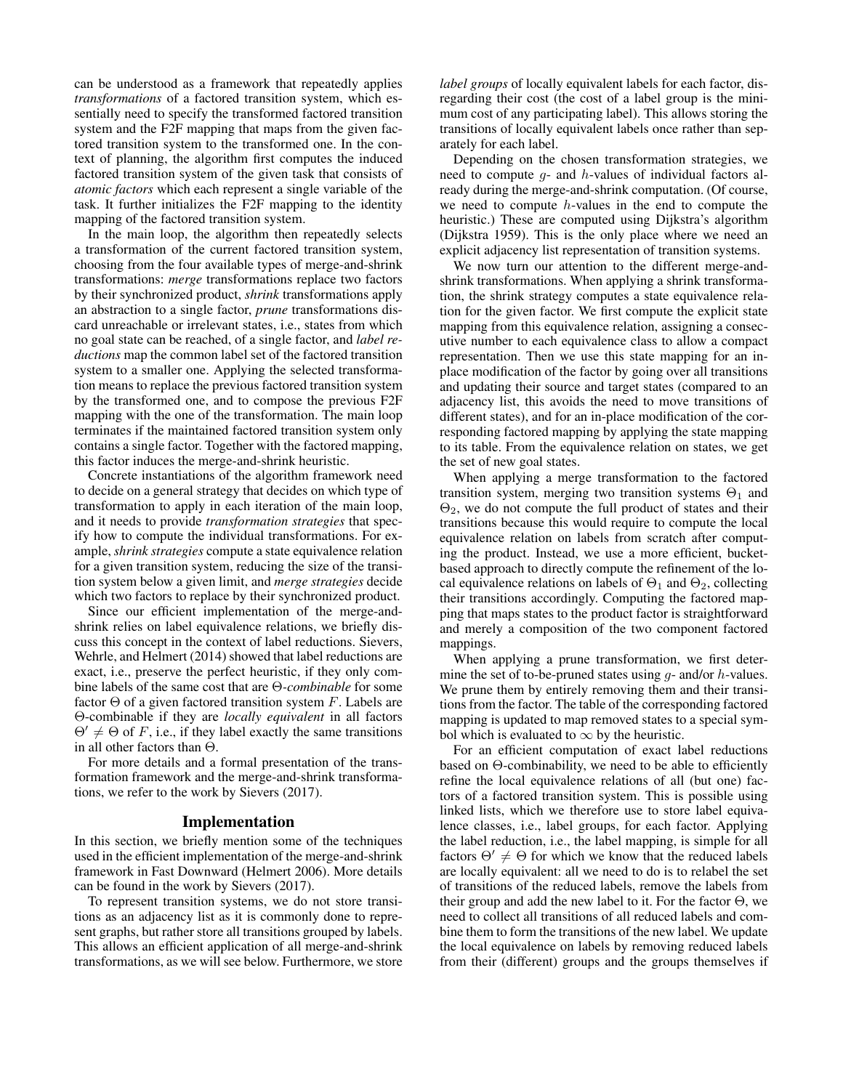can be understood as a framework that repeatedly applies *transformations* of a factored transition system, which essentially need to specify the transformed factored transition system and the F2F mapping that maps from the given factored transition system to the transformed one. In the context of planning, the algorithm first computes the induced factored transition system of the given task that consists of *atomic factors* which each represent a single variable of the task. It further initializes the F2F mapping to the identity mapping of the factored transition system.

In the main loop, the algorithm then repeatedly selects a transformation of the current factored transition system, choosing from the four available types of merge-and-shrink transformations: *merge* transformations replace two factors by their synchronized product, *shrink* transformations apply an abstraction to a single factor, *prune* transformations discard unreachable or irrelevant states, i.e., states from which no goal state can be reached, of a single factor, and *label reductions* map the common label set of the factored transition system to a smaller one. Applying the selected transformation means to replace the previous factored transition system by the transformed one, and to compose the previous F2F mapping with the one of the transformation. The main loop terminates if the maintained factored transition system only contains a single factor. Together with the factored mapping, this factor induces the merge-and-shrink heuristic.

Concrete instantiations of the algorithm framework need to decide on a general strategy that decides on which type of transformation to apply in each iteration of the main loop, and it needs to provide *transformation strategies* that specify how to compute the individual transformations. For example, *shrink strategies* compute a state equivalence relation for a given transition system, reducing the size of the transition system below a given limit, and *merge strategies* decide which two factors to replace by their synchronized product.

Since our efficient implementation of the merge-andshrink relies on label equivalence relations, we briefly discuss this concept in the context of label reductions. Sievers, Wehrle, and Helmert (2014) showed that label reductions are exact, i.e., preserve the perfect heuristic, if they only combine labels of the same cost that are Θ*-combinable* for some factor  $\Theta$  of a given factored transition system F. Labels are Θ-combinable if they are *locally equivalent* in all factors  $\Theta' \neq \Theta$  of F, i.e., if they label exactly the same transitions in all other factors than Θ.

For more details and a formal presentation of the transformation framework and the merge-and-shrink transformations, we refer to the work by Sievers (2017).

#### Implementation

In this section, we briefly mention some of the techniques used in the efficient implementation of the merge-and-shrink framework in Fast Downward (Helmert 2006). More details can be found in the work by Sievers (2017).

To represent transition systems, we do not store transitions as an adjacency list as it is commonly done to represent graphs, but rather store all transitions grouped by labels. This allows an efficient application of all merge-and-shrink transformations, as we will see below. Furthermore, we store *label groups* of locally equivalent labels for each factor, disregarding their cost (the cost of a label group is the minimum cost of any participating label). This allows storing the transitions of locally equivalent labels once rather than separately for each label.

Depending on the chosen transformation strategies, we need to compute  $q$ - and  $h$ -values of individual factors already during the merge-and-shrink computation. (Of course, we need to compute  $h$ -values in the end to compute the heuristic.) These are computed using Dijkstra's algorithm (Dijkstra 1959). This is the only place where we need an explicit adjacency list representation of transition systems.

We now turn our attention to the different merge-andshrink transformations. When applying a shrink transformation, the shrink strategy computes a state equivalence relation for the given factor. We first compute the explicit state mapping from this equivalence relation, assigning a consecutive number to each equivalence class to allow a compact representation. Then we use this state mapping for an inplace modification of the factor by going over all transitions and updating their source and target states (compared to an adjacency list, this avoids the need to move transitions of different states), and for an in-place modification of the corresponding factored mapping by applying the state mapping to its table. From the equivalence relation on states, we get the set of new goal states.

When applying a merge transformation to the factored transition system, merging two transition systems  $\Theta_1$  and  $\Theta_2$ , we do not compute the full product of states and their transitions because this would require to compute the local equivalence relation on labels from scratch after computing the product. Instead, we use a more efficient, bucketbased approach to directly compute the refinement of the local equivalence relations on labels of  $\Theta_1$  and  $\Theta_2$ , collecting their transitions accordingly. Computing the factored mapping that maps states to the product factor is straightforward and merely a composition of the two component factored mappings.

When applying a prune transformation, we first determine the set of to-be-pruned states using  $g$ - and/or  $h$ -values. We prune them by entirely removing them and their transitions from the factor. The table of the corresponding factored mapping is updated to map removed states to a special symbol which is evaluated to  $\infty$  by the heuristic.

For an efficient computation of exact label reductions based on Θ-combinability, we need to be able to efficiently refine the local equivalence relations of all (but one) factors of a factored transition system. This is possible using linked lists, which we therefore use to store label equivalence classes, i.e., label groups, for each factor. Applying the label reduction, i.e., the label mapping, is simple for all factors  $\Theta' \neq \Theta$  for which we know that the reduced labels are locally equivalent: all we need to do is to relabel the set of transitions of the reduced labels, remove the labels from their group and add the new label to it. For the factor Θ, we need to collect all transitions of all reduced labels and combine them to form the transitions of the new label. We update the local equivalence on labels by removing reduced labels from their (different) groups and the groups themselves if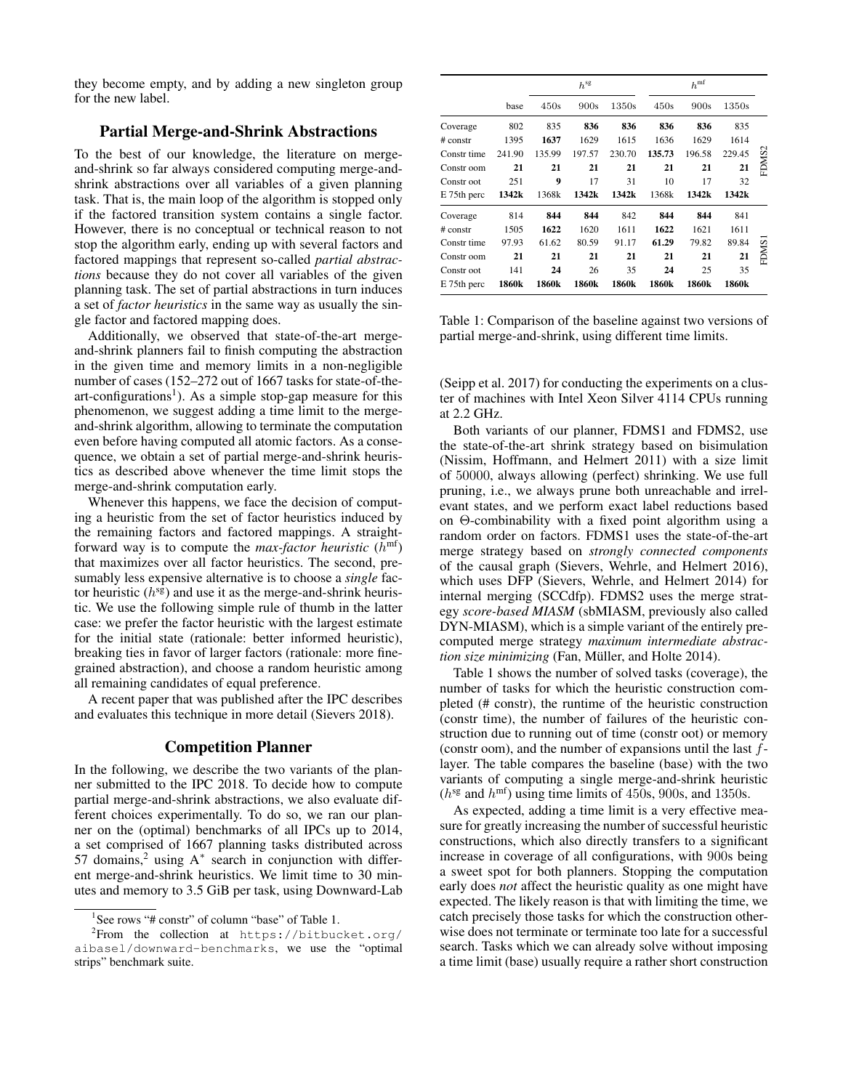they become empty, and by adding a new singleton group for the new label.

## Partial Merge-and-Shrink Abstractions

To the best of our knowledge, the literature on mergeand-shrink so far always considered computing merge-andshrink abstractions over all variables of a given planning task. That is, the main loop of the algorithm is stopped only if the factored transition system contains a single factor. However, there is no conceptual or technical reason to not stop the algorithm early, ending up with several factors and factored mappings that represent so-called *partial abstractions* because they do not cover all variables of the given planning task. The set of partial abstractions in turn induces a set of *factor heuristics* in the same way as usually the single factor and factored mapping does.

Additionally, we observed that state-of-the-art mergeand-shrink planners fail to finish computing the abstraction in the given time and memory limits in a non-negligible number of cases (152–272 out of 1667 tasks for state-of-theart-configurations<sup>1</sup>). As a simple stop-gap measure for this phenomenon, we suggest adding a time limit to the mergeand-shrink algorithm, allowing to terminate the computation even before having computed all atomic factors. As a consequence, we obtain a set of partial merge-and-shrink heuristics as described above whenever the time limit stops the merge-and-shrink computation early.

Whenever this happens, we face the decision of computing a heuristic from the set of factor heuristics induced by the remaining factors and factored mappings. A straightforward way is to compute the *max-factor heuristic*  $(h<sup>mf</sup>)$ that maximizes over all factor heuristics. The second, presumably less expensive alternative is to choose a *single* factor heuristic  $(h^{sg})$  and use it as the merge-and-shrink heuristic. We use the following simple rule of thumb in the latter case: we prefer the factor heuristic with the largest estimate for the initial state (rationale: better informed heuristic), breaking ties in favor of larger factors (rationale: more finegrained abstraction), and choose a random heuristic among all remaining candidates of equal preference.

A recent paper that was published after the IPC describes and evaluates this technique in more detail (Sievers 2018).

#### Competition Planner

In the following, we describe the two variants of the planner submitted to the IPC 2018. To decide how to compute partial merge-and-shrink abstractions, we also evaluate different choices experimentally. To do so, we ran our planner on the (optimal) benchmarks of all IPCs up to 2014, a set comprised of 1667 planning tasks distributed across 57 domains,<sup>2</sup> using  $A^*$  search in conjunction with different merge-and-shrink heuristics. We limit time to 30 minutes and memory to 3.5 GiB per task, using Downward-Lab

|             |        |        | $h^{\rm sg}$ |        |        |        |        |                   |
|-------------|--------|--------|--------------|--------|--------|--------|--------|-------------------|
|             | base   | 450s   | 900s         | 1350s  | 450s   | 900s   | 1350s  |                   |
| Coverage    | 802    | 835    | 836          | 836    | 836    | 836    | 835    |                   |
| $#$ constr  | 1395   | 1637   | 1629         | 1615   | 1636   | 1629   | 1614   |                   |
| Constr time | 241.90 | 135.99 | 197.57       | 230.70 | 135.73 | 196.58 | 229.45 |                   |
| Constr oom  | 21     | 21     | 21           | 21     | 21     | 21     | 21     | FDMS <sub>2</sub> |
| Constr oot  | 251    | 9      | 17           | 31     | 10     | 17     | 32     |                   |
| E 75th perc | 1342k  | 1368k  | 1342k        | 1342k  | 1368k  | 1342k  | 1342k  |                   |
| Coverage    | 814    | 844    | 844          | 842    | 844    | 844    | 841    |                   |
| # constr    | 1505   | 1622   | 1620         | 1611   | 1622   | 1621   | 1611   |                   |
| Constr time | 97.93  | 61.62  | 80.59        | 91.17  | 61.29  | 79.82  | 89.84  |                   |
| Constr oom  | 21     | 21     | 21           | 21     | 21     | 21     | 21     | FDMS1             |
| Constr oot  | 141    | 24     | 26           | 35     | 24     | 25     | 35     |                   |
| E 75th perc | 1860k  | 1860k  | 1860k        | 1860k  | 1860k  | 1860k  | 1860k  |                   |

Table 1: Comparison of the baseline against two versions of partial merge-and-shrink, using different time limits.

(Seipp et al. 2017) for conducting the experiments on a cluster of machines with Intel Xeon Silver 4114 CPUs running at 2.2 GHz.

Both variants of our planner, FDMS1 and FDMS2, use the state-of-the-art shrink strategy based on bisimulation (Nissim, Hoffmann, and Helmert 2011) with a size limit of 50000, always allowing (perfect) shrinking. We use full pruning, i.e., we always prune both unreachable and irrelevant states, and we perform exact label reductions based on Θ-combinability with a fixed point algorithm using a random order on factors. FDMS1 uses the state-of-the-art merge strategy based on *strongly connected components* of the causal graph (Sievers, Wehrle, and Helmert 2016), which uses DFP (Sievers, Wehrle, and Helmert 2014) for internal merging (SCCdfp). FDMS2 uses the merge strategy *score-based MIASM* (sbMIASM, previously also called DYN-MIASM), which is a simple variant of the entirely precomputed merge strategy *maximum intermediate abstraction size minimizing* (Fan, Müller, and Holte 2014).

Table 1 shows the number of solved tasks (coverage), the number of tasks for which the heuristic construction completed (# constr), the runtime of the heuristic construction (constr time), the number of failures of the heuristic construction due to running out of time (constr oot) or memory (constr oom), and the number of expansions until the last flayer. The table compares the baseline (base) with the two variants of computing a single merge-and-shrink heuristic  $(h<sup>sg</sup>$  and  $h<sup>mf</sup>$ ) using time limits of 450s, 900s, and 1350s.

As expected, adding a time limit is a very effective measure for greatly increasing the number of successful heuristic constructions, which also directly transfers to a significant increase in coverage of all configurations, with 900s being a sweet spot for both planners. Stopping the computation early does *not* affect the heuristic quality as one might have expected. The likely reason is that with limiting the time, we catch precisely those tasks for which the construction otherwise does not terminate or terminate too late for a successful search. Tasks which we can already solve without imposing a time limit (base) usually require a rather short construction

<sup>&</sup>lt;sup>1</sup>See rows "# constr" of column "base" of Table 1.

<sup>&</sup>lt;sup>2</sup>From the collection at https://bitbucket.org/ aibasel/downward-benchmarks, we use the "optimal strips" benchmark suite.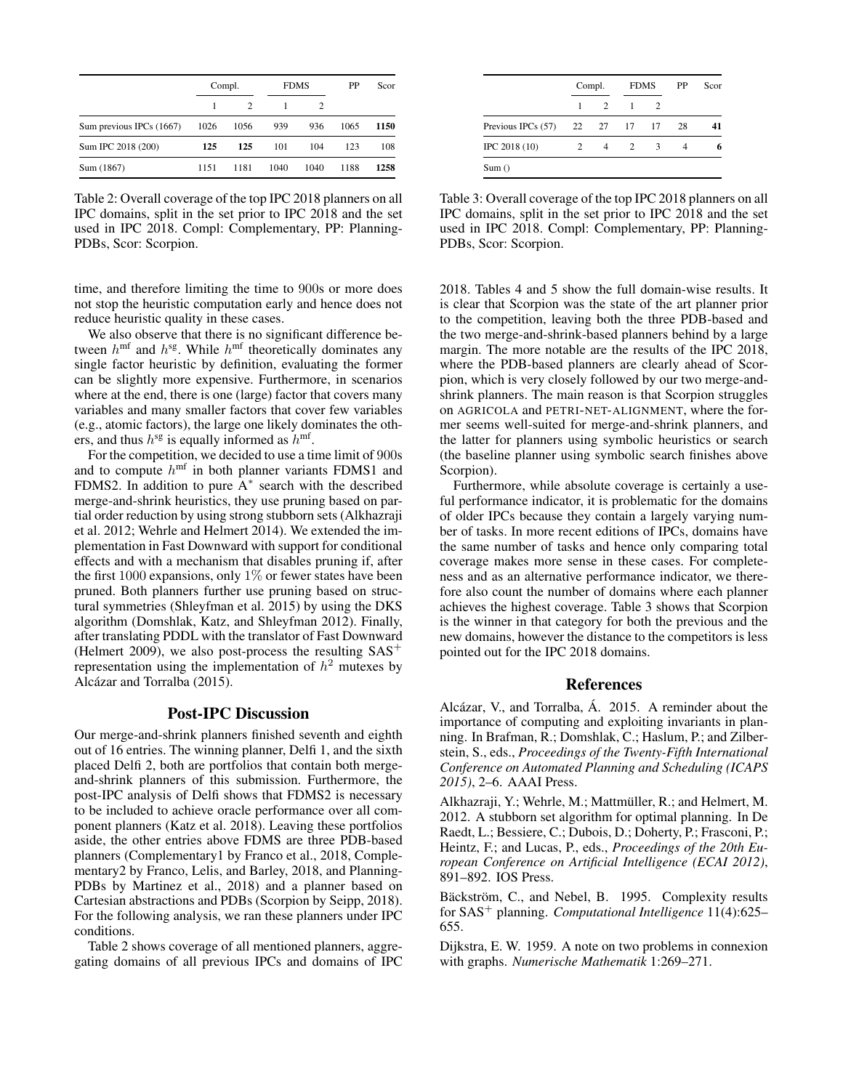|                          | Compl. |               |      | <b>FDMS</b> |      | Scor |
|--------------------------|--------|---------------|------|-------------|------|------|
|                          |        | $\mathcal{L}$ |      | 2           |      |      |
| Sum previous IPCs (1667) | 1026   | 1056          | 939  | 936         | 1065 | 1150 |
| Sum IPC 2018 (200)       | 125    | 125           | 101  | 104         | 123  | 108  |
| Sum (1867)               | 1151   | 1181          | 1040 | 1040        | 1188 | 1258 |

Table 2: Overall coverage of the top IPC 2018 planners on all IPC domains, split in the set prior to IPC 2018 and the set used in IPC 2018. Compl: Complementary, PP: Planning-PDBs, Scor: Scorpion.

time, and therefore limiting the time to 900s or more does not stop the heuristic computation early and hence does not reduce heuristic quality in these cases.

We also observe that there is no significant difference between  $h^{\text{mf}}$  and  $h^{\text{sg}}$ . While  $h^{\text{mf}}$  theoretically dominates any single factor heuristic by definition, evaluating the former can be slightly more expensive. Furthermore, in scenarios where at the end, there is one (large) factor that covers many variables and many smaller factors that cover few variables (e.g., atomic factors), the large one likely dominates the others, and thus  $h^{\text{sg}}$  is equally informed as  $h^{\text{mf}}$ .

For the competition, we decided to use a time limit of 900s and to compute  $h^{\text{mf}}$  in both planner variants FDMS1 and FDMS2. In addition to pure  $A^*$  search with the described merge-and-shrink heuristics, they use pruning based on partial order reduction by using strong stubborn sets (Alkhazraji et al. 2012; Wehrle and Helmert 2014). We extended the implementation in Fast Downward with support for conditional effects and with a mechanism that disables pruning if, after the first 1000 expansions, only  $1\%$  or fewer states have been pruned. Both planners further use pruning based on structural symmetries (Shleyfman et al. 2015) by using the DKS algorithm (Domshlak, Katz, and Shleyfman 2012). Finally, after translating PDDL with the translator of Fast Downward (Helmert 2009), we also post-process the resulting  $SAS^+$ representation using the implementation of  $h^2$  mutexes by Alcázar and Torralba (2015).

# Post-IPC Discussion

Our merge-and-shrink planners finished seventh and eighth out of 16 entries. The winning planner, Delfi 1, and the sixth placed Delfi 2, both are portfolios that contain both mergeand-shrink planners of this submission. Furthermore, the post-IPC analysis of Delfi shows that FDMS2 is necessary to be included to achieve oracle performance over all component planners (Katz et al. 2018). Leaving these portfolios aside, the other entries above FDMS are three PDB-based planners (Complementary1 by Franco et al., 2018, Complementary2 by Franco, Lelis, and Barley, 2018, and Planning-PDBs by Martinez et al., 2018) and a planner based on Cartesian abstractions and PDBs (Scorpion by Seipp, 2018). For the following analysis, we ran these planners under IPC conditions.

Table 2 shows coverage of all mentioned planners, aggregating domains of all previous IPCs and domains of IPC

|                    | Compl.         |               |   | <b>FDMS</b>                 |    | Scor |
|--------------------|----------------|---------------|---|-----------------------------|----|------|
|                    | 1              | $\mathcal{L}$ | 1 | $\mathcal{D}_{\mathcal{L}}$ |    |      |
| Previous IPCs (57) |                | 22 27 17 17   |   |                             | 28 |      |
| IPC 2018 (10)      | $\mathfrak{D}$ | 4             | 2 | 3                           |    |      |

Table 3: Overall coverage of the top IPC 2018 planners on all IPC domains, split in the set prior to IPC 2018 and the set used in IPC 2018. Compl: Complementary, PP: Planning-PDBs, Scor: Scorpion.

2018. Tables 4 and 5 show the full domain-wise results. It is clear that Scorpion was the state of the art planner prior to the competition, leaving both the three PDB-based and the two merge-and-shrink-based planners behind by a large margin. The more notable are the results of the IPC 2018, where the PDB-based planners are clearly ahead of Scorpion, which is very closely followed by our two merge-andshrink planners. The main reason is that Scorpion struggles on AGRICOLA and PETRI-NET-ALIGNMENT, where the former seems well-suited for merge-and-shrink planners, and the latter for planners using symbolic heuristics or search (the baseline planner using symbolic search finishes above Scorpion).

Furthermore, while absolute coverage is certainly a useful performance indicator, it is problematic for the domains of older IPCs because they contain a largely varying number of tasks. In more recent editions of IPCs, domains have the same number of tasks and hence only comparing total coverage makes more sense in these cases. For completeness and as an alternative performance indicator, we therefore also count the number of domains where each planner achieves the highest coverage. Table 3 shows that Scorpion is the winner in that category for both the previous and the new domains, however the distance to the competitors is less pointed out for the IPC 2018 domains.

#### References

Alcázar, V., and Torralba, Á. 2015. A reminder about the importance of computing and exploiting invariants in planning. In Brafman, R.; Domshlak, C.; Haslum, P.; and Zilberstein, S., eds., *Proceedings of the Twenty-Fifth International Conference on Automated Planning and Scheduling (ICAPS 2015)*, 2–6. AAAI Press.

Alkhazraji, Y.; Wehrle, M.; Mattmüller, R.; and Helmert, M. 2012. A stubborn set algorithm for optimal planning. In De Raedt, L.; Bessiere, C.; Dubois, D.; Doherty, P.; Frasconi, P.; Heintz, F.; and Lucas, P., eds., *Proceedings of the 20th European Conference on Artificial Intelligence (ECAI 2012)*, 891–892. IOS Press.

Bäckström, C., and Nebel, B. 1995. Complexity results for SAS<sup>+</sup> planning. *Computational Intelligence* 11(4):625– 655.

Dijkstra, E. W. 1959. A note on two problems in connexion with graphs. *Numerische Mathematik* 1:269–271.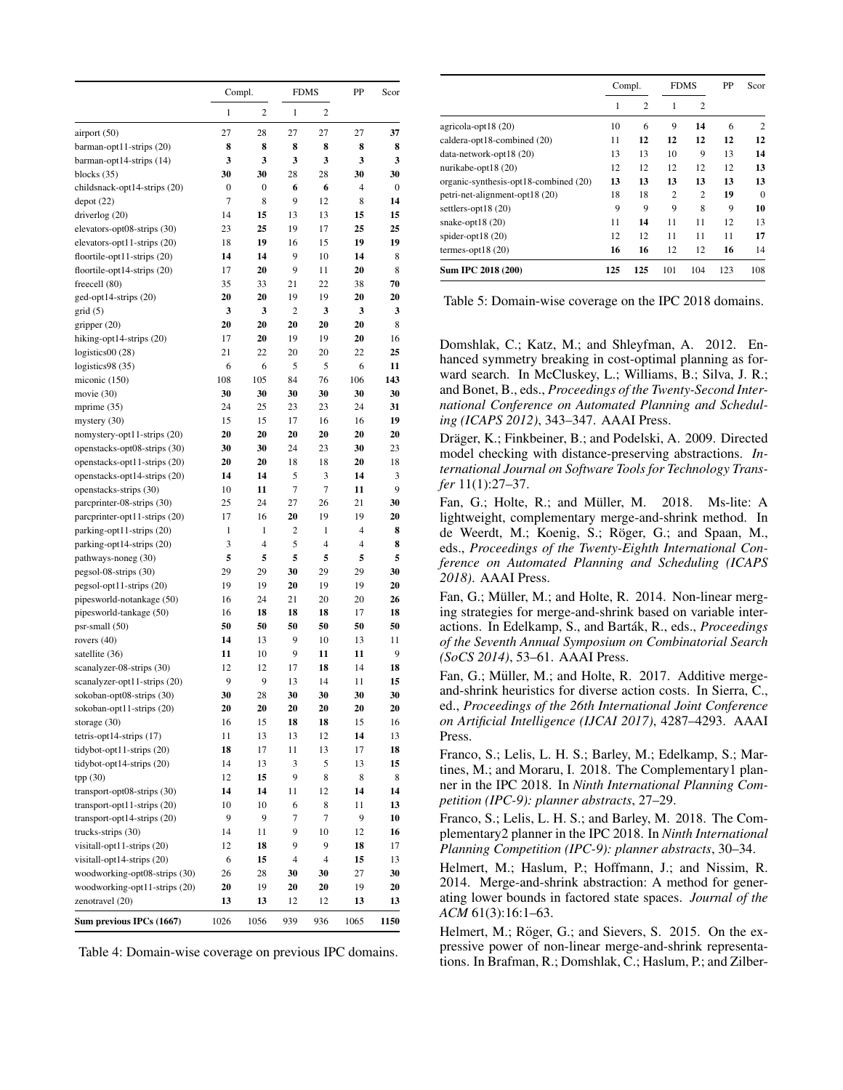|                                                            | Compl.   |                |                          | <b>FDMS</b> | PP             | Scor    |
|------------------------------------------------------------|----------|----------------|--------------------------|-------------|----------------|---------|
|                                                            | 1        | $\overline{c}$ | 1                        | 2           |                |         |
| airport (50)                                               | 27       | 28             | 27                       | 27          | 27             | 37      |
| barman-opt11-strips (20)                                   | 8        | 8              | 8                        | 8           | 8              | 8       |
| barman-opt14-strips (14)                                   | 3        | 3              | 3                        | 3           | 3              | 3       |
| blocks $(35)$                                              | 30       | 30             | 28                       | 28          | 30             | 30      |
| childsnack-opt14-strips (20)                               | 0        | 0              | 6                        | 6           | 4              | 0       |
| depot(22)                                                  | 7        | 8              | 9                        | 12          | 8              | 14      |
| driverlog (20)                                             | 14       | 15             | 13                       | 13          | 15             | 15      |
| elevators-opt08-strips (30)                                | 23       | 25             | 19                       | 17          | 25             | 25      |
| elevators-opt11-strips (20)                                | 18       | 19             | 16                       | 15          | 19             | 19      |
| floortile-opt11-strips (20)                                | 14       | 14             | 9                        | 10          | 14             | 8       |
| floortile-opt14-strips (20)                                | 17       | 20             | 9                        | 11          | 20             | 8       |
| freecell (80)                                              | 35       | 33             | 21                       | 22          | 38             | 70      |
| ged-opt14-strips (20)                                      | 20       | 20             | 19                       | 19          | 20             | 20      |
| grid(5)                                                    | 3        | 3              | $\overline{c}$           | 3           | 3              | 3       |
| gripper (20)                                               | 20       | 20             | 20                       | 20          | 20             | 8       |
| hiking-opt14-strips (20)                                   | 17       | 20             | 19                       | 19          | 20             | 16      |
| logistics $00(28)$                                         | 21       | 22             | 20                       | 20          | 22             | 25      |
| logistics98 (35)                                           | 6        | 6              | 5                        | 5           | 6              | 11      |
| miconic (150)                                              | 108      | 105            | 84                       | 76          | 106            | 143     |
| movie $(30)$                                               | 30       | 30             | 30                       | 30          | 30             | 30      |
| mprime (35)                                                | 24       | 25             | 23                       | 23          | 24             | 31      |
| mystery $(30)$                                             | 15       | 15             | 17                       | 16          | 16             | 19      |
| nomystery-opt11-strips (20)                                | 20       | 20             | 20                       | 20          | 20             | 20      |
| openstacks-opt08-strips (30)                               | 30       | 30             | 24                       | 23          | 30             | 23      |
| openstacks-opt11-strips (20)                               | 20       | 20             | 18                       | 18          | 20             | 18      |
| openstacks-opt14-strips (20)                               | 14       | 14             | 5                        | 3           | 14             | 3       |
| openstacks-strips (30)                                     | 10<br>25 | 11<br>24       | $\overline{7}$<br>27     | 7<br>26     | 11<br>21       | 9<br>30 |
| parcprinter-08-strips (30)                                 | 17       | 16             | 20                       | 19          | 19             | 20      |
| parcprinter-opt11-strips (20)<br>parking-opt11-strips (20) | 1        | 1              | 2                        | 1           | $\overline{4}$ | 8       |
| parking-opt14-strips (20)                                  | 3        | 4              | 5                        | 4           | 4              | 8       |
| pathways-noneg (30)                                        | 5        | 5              | 5                        | 5           | 5              | 5       |
| pegsol-08-strips (30)                                      | 29       | 29             | 30                       | 29          | 29             | 30      |
| pegsol-opt11-strips (20)                                   | 19       | 19             | 20                       | 19          | 19             | 20      |
| pipesworld-notankage (50)                                  | 16       | 24             | 21                       | 20          | 20             | 26      |
| pipesworld-tankage (50)                                    | 16       | 18             | 18                       | 18          | 17             | 18      |
| $psr$ -small $(50)$                                        | 50       | 50             | 50                       | 50          | 50             | 50      |
| rovers $(40)$                                              | 14       | 13             | 9                        | 10          | 13             | 11      |
| satellite (36)                                             | 11       | 10             | 9                        | 11          | 11             | 9       |
| scanalyzer-08-strips (30)                                  | 12       | 12             | 17                       | 18          | 14             | 18      |
| scanalyzer-opt11-strips (20)                               | 9        | 9              | 13                       | 14          | 11             | 15      |
| sokoban-opt08-strips (30)                                  | 30       | 28             | 30                       | 30          | 30             | 30      |
| sokoban-opt11-strips (20)                                  | 20       | 20             | 20                       | 20          | 20             | 20      |
| storage $(30)$                                             | 16       | 15             | 18                       | 18          | 15             | 16      |
| tetris-opt14-strips (17)                                   | 11       | 13             | 13                       | 12          | 14             | 13      |
| tidybot-opt11-strips (20)                                  | 18       | 17             | 11                       | 13          | 17             | 18      |
| tidybot-opt14-strips (20)                                  | 14       | 13             | 3                        | 5           | 13             | 15      |
| tpp(30)                                                    | 12       | 15             | 9                        | 8           | 8              | 8       |
| transport-opt08-strips (30)                                | 14       | 14             | 11                       | 12          | 14             | 14      |
| $transport-opt11-strips(20)$                               | 10       | 10             | 6                        | 8           | 11             | 13      |
| transport-opt14-strips (20)                                | 9        | 9              | 7                        | 7           | 9              | 10      |
| trucks-strips (30)                                         | 14       | 11             | 9                        | 10          | 12             | 16      |
| visitall-opt11-strips (20)                                 | 12       | 18             | 9                        | 9           | 18             | 17      |
| visitall-opt14-strips (20)                                 | 6        | 15             | $\overline{\mathcal{L}}$ | 4           | 15             | 13      |
| woodworking-opt08-strips (30)                              | 26       | 28             | 30                       | 30          | 27             | 30      |
| woodworking-opt11-strips (20)                              | 20       | 19             | 20                       | 20          | 19             | 20      |
| zenotravel (20)                                            | 13       | 13             | 12                       | 12          | 13             | 13      |
| Sum previous IPCs (1667)                                   | 1026     | 1056           | 939                      | 936         | 1065           | 1150    |

Table 4: Domain-wise coverage on previous IPC domains.

|                                       | Compl. |                |                | <b>FDMS</b>    |     | Scor     |
|---------------------------------------|--------|----------------|----------------|----------------|-----|----------|
|                                       | 1      | $\overline{2}$ | 1              | 2              |     |          |
| agricola-opt18 (20)                   | 10     | 6              | 9              | 14             | 6   | 2        |
| caldera-opt18-combined (20)           | 11     | 12             | 12             | 12             | 12  | 12       |
| data-network-opt18 (20)               | 13     | 13             | 10             | 9              | 13  | 14       |
| nurikabe-opt18 (20)                   | 12     | 12             | 12             | 12             | 12  | 13       |
| organic-synthesis-opt18-combined (20) | 13     | 13             | 13             | 13             | 13  | 13       |
| petri-net-alignment-opt18 (20)        | 18     | 18             | $\overline{c}$ | $\overline{c}$ | 19  | $\theta$ |
| settlers-opt18 $(20)$                 | 9      | 9              | 9              | 8              | 9   | 10       |
| snake-opt $18(20)$                    | 11     | 14             | 11             | 11             | 12  | 13       |
| spider-opt $18(20)$                   | 12     | 12             | 11             | 11             | 11  | 17       |
| termes-opt18 $(20)$                   | 16     | 16             | 12             | 12             | 16  | 14       |
| Sum IPC 2018 (200)                    | 125    | 125            | 101            | 104            | 123 | 108      |

Table 5: Domain-wise coverage on the IPC 2018 domains.

Domshlak, C.; Katz, M.; and Shleyfman, A. 2012. Enhanced symmetry breaking in cost-optimal planning as forward search. In McCluskey, L.; Williams, B.; Silva, J. R.; and Bonet, B., eds., *Proceedings of the Twenty-Second International Conference on Automated Planning and Scheduling (ICAPS 2012)*, 343–347. AAAI Press.

Dräger, K.; Finkbeiner, B.; and Podelski, A. 2009. Directed model checking with distance-preserving abstractions. *International Journal on Software Tools for Technology Transfer* 11(1):27–37.

Fan, G.; Holte, R.; and Müller, M. 2018. Ms-lite: A lightweight, complementary merge-and-shrink method. In de Weerdt, M.; Koenig, S.; Röger, G.; and Spaan, M., eds., *Proceedings of the Twenty-Eighth International Conference on Automated Planning and Scheduling (ICAPS 2018)*. AAAI Press.

Fan, G.; Müller, M.; and Holte, R. 2014. Non-linear merging strategies for merge-and-shrink based on variable interactions. In Edelkamp, S., and Barták, R., eds., *Proceedings of the Seventh Annual Symposium on Combinatorial Search (SoCS 2014)*, 53–61. AAAI Press.

Fan, G.; Müller, M.; and Holte, R. 2017. Additive mergeand-shrink heuristics for diverse action costs. In Sierra, C., ed., *Proceedings of the 26th International Joint Conference on Artificial Intelligence (IJCAI 2017)*, 4287–4293. AAAI Press.

Franco, S.; Lelis, L. H. S.; Barley, M.; Edelkamp, S.; Martines, M.; and Moraru, I. 2018. The Complementary1 planner in the IPC 2018. In *Ninth International Planning Competition (IPC-9): planner abstracts*, 27–29.

Franco, S.; Lelis, L. H. S.; and Barley, M. 2018. The Complementary2 planner in the IPC 2018. In *Ninth International Planning Competition (IPC-9): planner abstracts*, 30–34.

Helmert, M.; Haslum, P.; Hoffmann, J.; and Nissim, R. 2014. Merge-and-shrink abstraction: A method for generating lower bounds in factored state spaces. *Journal of the ACM* 61(3):16:1–63.

Helmert, M.; Röger, G.; and Sievers, S. 2015. On the expressive power of non-linear merge-and-shrink representations. In Brafman, R.; Domshlak, C.; Haslum, P.; and Zilber